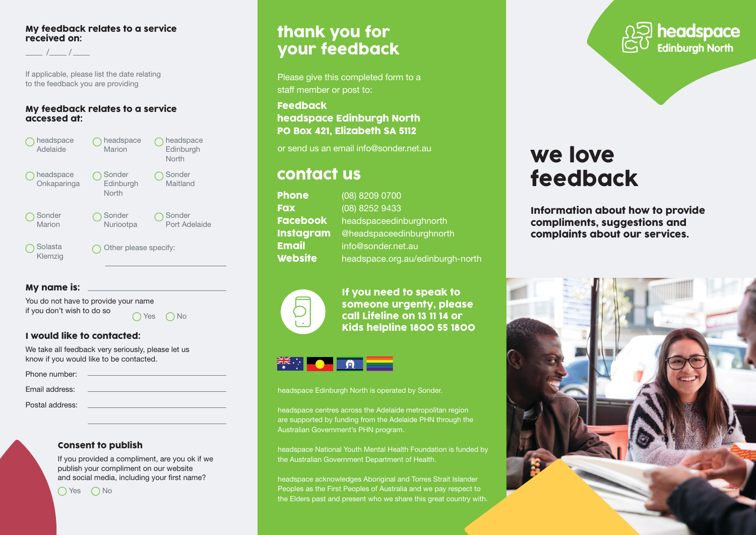#### My feedback relates to a service received on:

/ /

If applicable, please list the date relating to the feedback you are providing

#### My feedback relates to a service accessed at:



### My name is:

You do not have to provide your name if you don't wish to do so

 $\bigcap$  Yes  $\bigcap$  No

### I would like to contacted:

We take all feedback very seriously, please let us know if you would like to be contacted.

| Phone number:   |  |
|-----------------|--|
|                 |  |
| Email address:  |  |
| Postal address: |  |
|                 |  |

#### Consent to publish

If you provided a compliment, are you ok if we publish your compliment on our website and social media, including your first name?

 $\bigcap$  Yes  $\bigcap$  No

## thank you for your feedback

Please give this completed form to a staff member or post to:

### Feedback headspace Edinburgh North PO Box 421, Elizabeth SA 5112

## contact us

| (08) 8209 0700                   |
|----------------------------------|
| (08) 8252 9433                   |
| headspaceedinburghnorth          |
| @headspaceedinburghnorth         |
| info@sonder.net.au               |
| headspace.org.au/edinburgh-north |
|                                  |



If you need to speak to someone urgenty, please call Lifeline on 13 11 14 or Kids helpline 1800 55 1800

# ER : OR

#### headspace Edinburgh North is operated by Sonder.

headspace centres across the Adelaide metropolitan region are supported by funding from the Adelaide PHN through the Australian Government's PHN program.

headspace National Youth Mental Health Foundation is funded by the Australian Government Department of Health.

headspace acknowledges Aboriginal and Torres Strait Islander Peoples as the First Peoples of Australia and we pay respect to the Elders past and present who we share this great country with.



# or send us an email [info@sonder.net.au](mailto:info@sonder.net.au) **we love** feedback

Information about how to provide compliments, suggestions and complaints about our services.